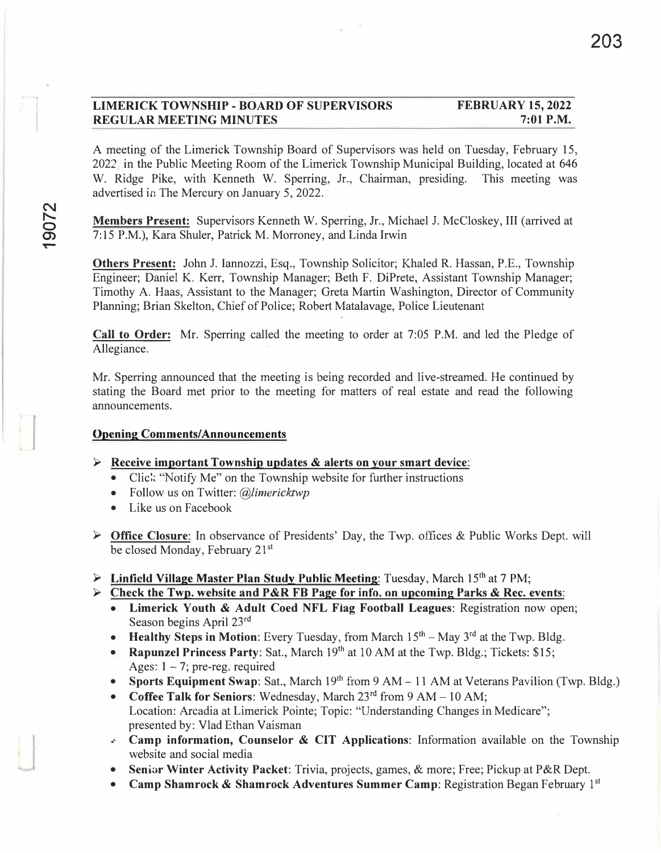#### **LIMERICK TOWNSHIP - BOARD OF SUPERVISORS REGULAR MEETING MINUTES FEBRUARY 15, 2022 7:01 P.M.**

A meeting of the Limerick Township Board of Supervisors was held on Tuesday, February 15, 2022; in the Public Meeting Room of the Limerick Township Municipal Building, located at 646 W. Ridge Pike, with Kenneth W. Sperring, Jr., Chairman, presiding. This meeting was advertised in The Mercury on January 5, 2022.

**Members Present:** Supervisors Kenneth W. Sperring, Jr., Michael J. McCloskey, III (arrived at 7:15 P.M.), Kara Shuler, Patrick M. Morroney, and Linda Irwin

**Others Present:** John J. lannozzi, Esq., Township Solicitor; Khaled R. Hassan, P.E., Township Engineer; Daniel K. Kerr, Township Manager; Beth F. DiPrete, Assistant Township Manager; Timothy A. Haas, Assistant to the Manager; Greta Martin Washington, Director of Community Planning; Brian Skelton, Chief of Police; Robert Matalavage, Police Lieutenant

**Call to Order:** Mr. Sperring called the meeting to order at 7:05 P.M. and led the Pledge of Allegiance.

Mr. Sperring announced that the meeting is being recorded and live-streamed. He continued by stating the Board met prior to the meeting for matters of real estate and read the following announcements.

#### **Opening Comments/Announcements**

- **► Receive important Township updates & aJerts on your smart device:**
	- Click: "Notify Me" on the Township website for further instructions
	- Follow us on Twitter: *@limericktwp*
	- Like us on Facebook
- **► Office Closure:** In observance of Presidents' Day, the Twp. offices & Public Works Dept. will be closed Monday, February 21<sup>st</sup>
- **► Linficld Village Master Plan Study Public Meeting:** Tuesday, March 15th at 7 PM;
- **► Check the Twp. website and P&R FB Page for info. on upcoming Parks & Rec. events:**
	- **Limerick Youth & Adult Coed NFL Flag Football Leagues:** Registration now open; Season begins April 23rd
	- **Healthy Steps in Motion:** Every Tuesday, from March 15<sup>th</sup> May 3<sup>rd</sup> at the Twp. Bldg.
	- **Rapunzel Princess Party:** Sat., March 19<sup>th</sup> at 10 AM at the Twp. Bldg.; Tickets: \$15; Ages:  $1 - 7$ ; pre-reg. required
	- Sports Equipment Swap: Sat., March 19<sup>th</sup> from 9 AM 11 AM at Veterans Pavilion (Twp. Bldg.)
	- **Coffee Talk for Seniors:** Wednesday, March 23<sup>rd</sup> from 9 AM 10 AM; Location: Arcadia at Limerick Pointe; Topic: "Understanding Changes in Medicare"; presented by: Vlad Ethan Vaisman
	- ... **Camp information, Counselor & CIT Applications:** Information available on the Township website and social media
	- **Senior Winter Activity Packet:** Trivia, projects, games, & more; Free; Pickup at P&R Dept.
	- **Camp Shamrock & Shamrock Adventures Summer Camp**: Registration Began February 1<sup>st</sup>

 $\overline{a}$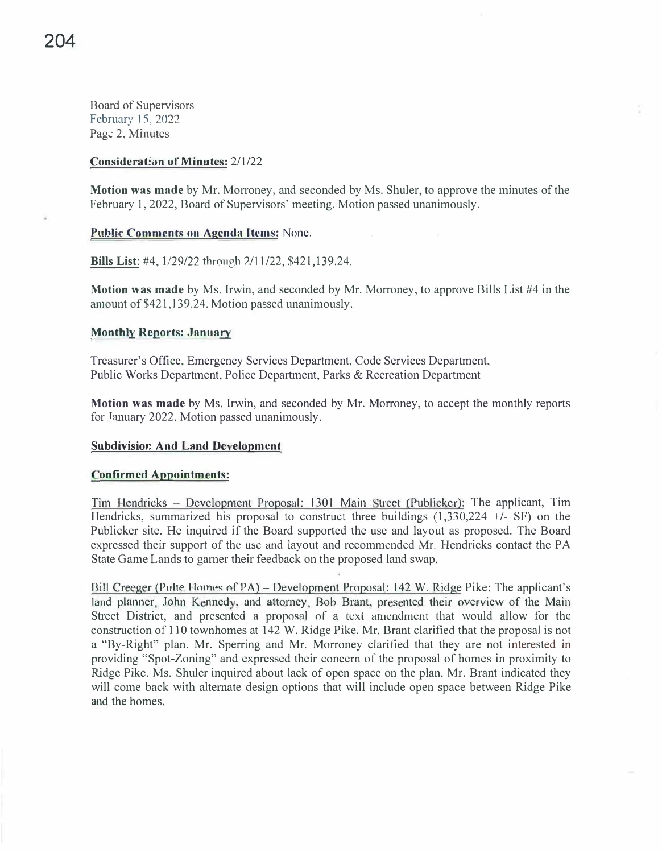Board of Supervisors February 15, 2022 Page 2, Minutes

#### **Consideration of Minutes: 2/1/22**

**Motion was made** by Mr. Morroney, and seconded by Ms. Shuler, to approve the minutes of the February 1, 2022, Board of Supervisors' meeting. Motion passed unanimously.

#### **Public Comments on Agenda Items: None.**

**Bills List: #4, 1/29/22 through 2/11/22, \$421,139.24.** 

**Motion was made** by Ms. Irwin, and seconded by Mr. Morroney, to approve Bills List #4 in the amount of \$421,139.24. Motion passed unanimously.

#### **Monthly Reports: January**

Treasurer's Office, Emergency Services Department, Code Services Department, Public Works Department, Police Department, Parks & Recreation Department

**Motion was made** by Ms. Irwin, and seconded by Mr. Morroney, to accept the monthly reports for Tanuary 2022. Motion passed unanimously.

# **Subdivision And Land Development**

#### **Confirmed Appointments:**

Tim Hendricks - Development Proposal: 1301 Main Street (Publicker): The applicant, Tim Hendricks, summarized his proposal to construct three buildings  $(1,330,224 +/- SF)$  on the Publicker site. He inquired if the Board supported the use and layout as proposed. The Board expressed their support of the use and layout and recommended Mr. Hendricks contact the PA State Game Lands to garner their feedback on the proposed land swap.

Bill Creeger (Pulte Homes of PA) – Development Proposal: 142 W. Ridge Pike: The applicant's land planner, John Kennedy, and attorney, Bob Brant, presented their overview of the Main Street District, and presented a proposal of a text amendment that would allow for the construction of 110 townhomes at 142 W. Ridge Pike. Mr. Brant clarified that the proposal is not a "By-Right" plan. Mr. Sperring and Mr. Morroney clarified that they are not interested in providing "Spot-Zoning" and expressed their concern of the proposal of homes in proximity to Ridge Pike. Ms. Shuler inquired about lack of open space on the plan. Mr. Brant indicated they will come back with alternate design options that will include open space between Ridge Pike and the homes.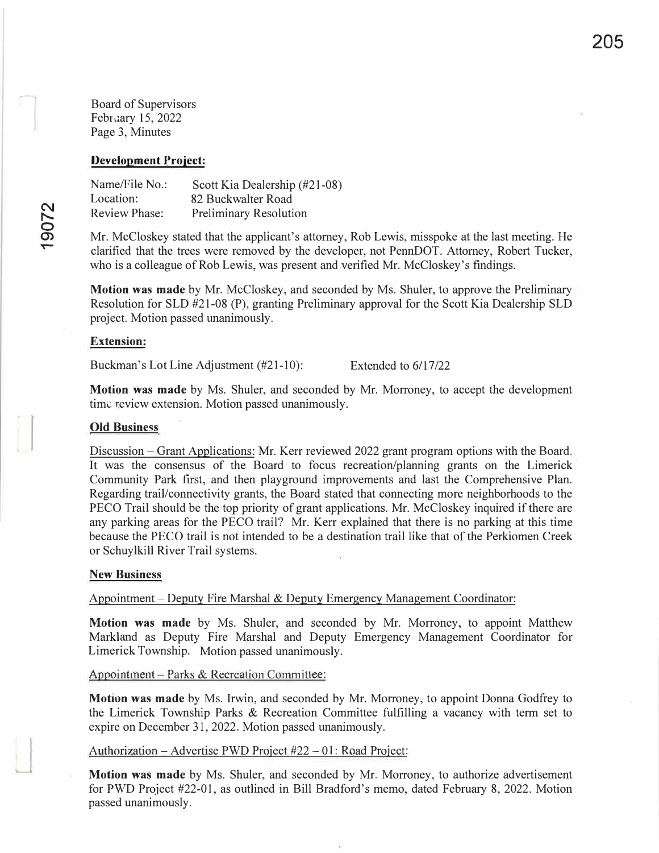Board of Supervisors February 15, 2022 Page 3, Minutes

#### **Development Project:**

Name/File No.: Location: Review Phase: Scott Kia Dealership (#21-08) 82 Buckwalter Road Preliminary Resolution

Mr. McCloskey stated that the applicant's attorney, Rob Lewis, misspoke at the last meeting. He clarified that the trees were removed by the developer, not PennDOT. Attorney, Robert Tucker, who is a colleague of Rob Lewis, was present and verified Mr. McCloskey's findings.

**Motion was made** by Mr. McCloskey, and seconded by Ms. Shuler, to approve the Preliminary Resolution for SLD #21-08 (P), granting Preliminary approval for the Scott Kia Dealership SLD project. Motion passed unanimously.

#### **Extension:**

Buckman's Lot Line Adjustment (#21-10): Extended to 6/17/22

**Motion was made** by Ms. Shuler, and seconded by Mr. Morroney, to accept the development time review extension. Motion passed unanimously.

#### **Old Business**

Discussion - Grant Applications: Mr. Kerr reviewed 2022 grant program options with the Board. It was the consensus of the Board to focus recreation/planning grants on the Limerick Community Park first, and then playground improvements and last the Comprehensive Plan. Regarding trail/connectivity grants, the Board stated that connecting more neighborhoods to the PECO Trail should be the top priority of grant applications. Mr. McCloskey inquired if there are any parking areas for the PECO trail? Mr. Kerr explained that there is no parking at this time because the PECO trail is not intended to be a destination trail like that of the Perkiomen Creek or Schuylkill River Trail systems.

#### **New Business**

Appointment - Deputy Fire Marshal & Deputy Emergency Management Coordinator:

**Motion was made** by Ms. Shuler, and seconded by Mr. Morroney, to appoint Matthew Markland as Deputy Fire Marshal and Deputy Emergency Management Coordinator for Limerick Township. Motion passed unanimously.

#### Appointment - Parks & Recreation Committee:

**Motion was made** by Ms. Irwin, and seconded by Mr. Morroney, to appoint Donna Godfrey to the Limerick Township Parks & Recreation Committee fulfilling a vacancy with term set to expire on December 31, 2022. Motion passed unanimously.

#### Authorization – Advertise PWD Project #22 – 01: Road Project:

**Motion was made** by Ms. Shuler, and seconded by Mr. Morroney, to authorize advertisement for PWD Project #22-01, as outlined in Bill Bradford's memo, dated February 8, 2022. Motion passed unanimously.

I - '

 $\mathbf{r}$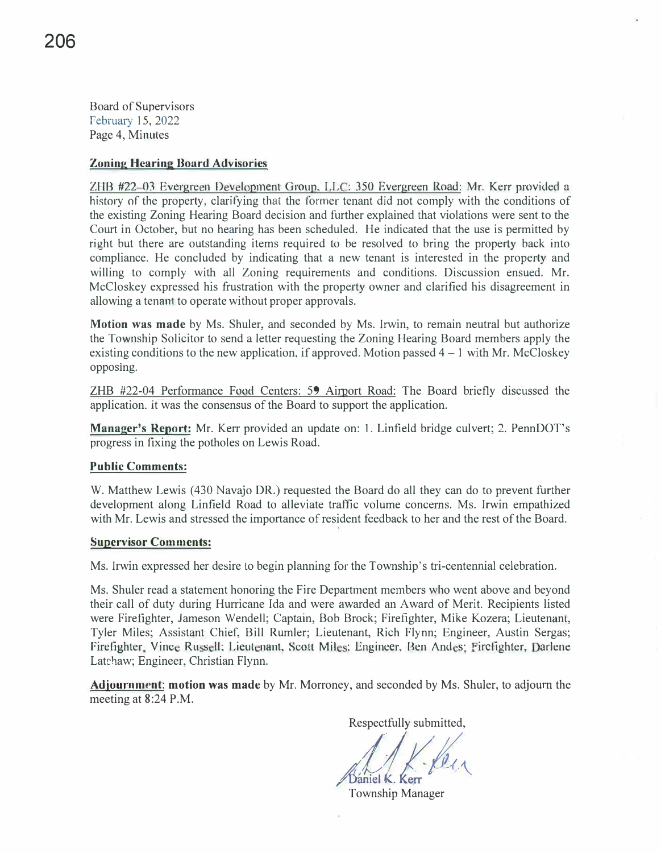Board of Supervisors Pebruary 15, 2022 Page 4, Minutes

#### **Zoning Hearing Board Advisories**

ZHB #22-03 Evergreen Development Group, LLC: 350 Evergreen Road: Mr. Kerr provided a history of the property, clarifying that the former tenant did not comply with the conditions of the existing Zoning Hearing Board decision and further explained that violations were sent to the Court in October, but no hearing has been scheduled. He indicated that the use is permitted by right but there are outstanding items required to be resolved to bring the property back into compliance. He concluded by indicating that a new tenant is interested in the property and willing to comply with all Zoning requirements and conditions. Discussion ensued. Mr. McCloskey expressed his frustration with the property owner and clarified his disagreement in allowing a tenant to operate without proper approvals.

**Motion was made** by Ms. Shuler, and seconded by Ms. Irwin, to remain neutral but authorize the Township Solicitor to send a letter requesting the Zoning Hearing Board members apply the existing conditions to the new application, if approved. Motion passed  $4 - 1$  with Mr. McCloskey opposing.

ZHB #22-04 Performance Food Centers: 59 Airport Road: The Board briefly discussed the application. it was the consensus of the Board to support the application.

**Manager's Report:** Mr. Kerr provided an update on: 1. Linfield bridge culvert; 2. PennDOT's progress in fixing the potholes on Lewis Road.

#### **Public Comments:**

W. Matthew Lewis (430 Navajo DR.) requested the Board do all they can do to prevent further development along Linfield Road to alleviate traffic volume concerns. Ms. Irwin empathized with Mr. Lewis and stressed the importance of resident feedback to her and the rest of the Board.

#### **Supervisor Comments:**

Ms. Irwin expressed her desire to begin planning for the Township's tri-centennial celebration.

Ms. Shuler read a statement honoring the Fire Department members who went above and beyond their call of duty during Hurricane Ida and were awarded an A ward of Merit. Recipients listed were Firefighter, Jameson Wendell; Captain, Bob Brock; Firefighter, Mike Kozera; Lieutenant, Tyler Miles; Assistant Chief, Bill Rumler; Lieutenant, Rich Flynn; Engineer, Austin Sergas; Firefighter, Vince Russell; Lieutenant, Scott Miles; Engineer, Ben Andes; Firefighter, Darlene Latchaw; Engineer, Christian Flynn.

Adjournm�nt: **motion was made** by Mr. Morroney, and seconded by Ms. Shuler, to adjourn the meeting at 8:24 P.M.

Respectfully submitted,

Respectiumy submitted,

Township Manager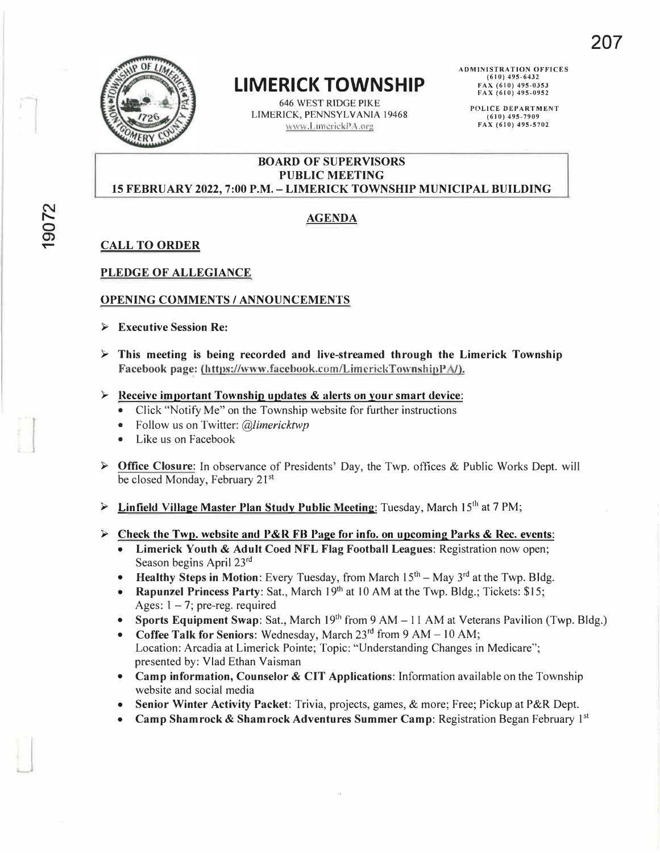

## **LIMERICK TOWNSHIP**

646 WEST RIDGE PIKE LIMERICK, PENNSYLVANIA 19468 �,LimcrickPA.org

**ADMINISTRATION OFFICES (610) 495-6432 FAX (610) 495-0353 FAX (610) 495-0952** 

> **POLICE DEPARTMENT (610) 495-7909 FAX (610) 495-5702**

#### **BOARD OF SUPERVISORS PUBLIC MEETING 15 FEBRUARY 2022, 7:00 P.M. -LIMERICK TOWNSHIP MUNICIPAL BUILDING**

#### **t--- AGENDA**

**� CALL TO ORDER** 

#### **PLEDGE OF ALLEGIANCE**

#### **OPENING COMMENTS/ ANNOUNCEMENTS**

- **► Executive Session Re:**
- **► This meeting is being recorded and live-streamed through the Limerick Township** Facebook page: (https://www.facebook.com/LimerickTownshipPA/).
- **► Receive important Township updates & alerts on your smart device:** 
	- Click "Notify Me" on the Township website for further instructions
	- Follow us on Twitter: *@limericktwp*
	- Like us on Facebook
- **► Office Closure:** In observance of Presidents' Day, the Twp. offices & Public Works Dept. will be closed Monday, February 21<sup>st</sup>
- **► Linfield Village Master· Plan Study Public Meeting:** Tuesday, March 15th at 7 PM;

#### **► Check the Twp. website and P&R FB Page for info. on upcoming Parks & Rec. events:**

- **Limerick Youth & Adult Coed NFL Flag Football Leagues:** Registration now open; Season begins April 23rd
- **Healthy Steps in Motion:** Every Tuesday, from March  $15<sup>th</sup> May 3<sup>rd</sup>$  at the Twp. Bldg.
- **Rapunzel Princess Party**: Sat., March 19<sup>th</sup> at 10 AM at the Twp. Bldg.; Tickets: \$15; Ages:  $1 - 7$ ; pre-reg. required
- **Sports Equipment Swap:** Sat., March 19th from 9 AM- 11 AM at Veterans Pavilion (Twp. Bldg.)
- **Coffee Talk for Seniors:** Wednesday, March 23<sup>rd</sup> from 9 AM 10 AM; Location: Arcadia at Limerick Pointe; Topic: ''Understanding Changes in Medicare"; presented by: Vlad Ethan Vaisman
- **Camp information, Counselor & CIT Applications:** Information available on the Township website and social media
- **Senior Winter Activity Packet:** Trivia, projects, games, & more; Free; Pickup at P&R Dept.
- **Camp Shamrock** & **Shamrock Adventures Summer Camp:** Registration Began February 1 **st**

 $\overline{\phantom{a}}$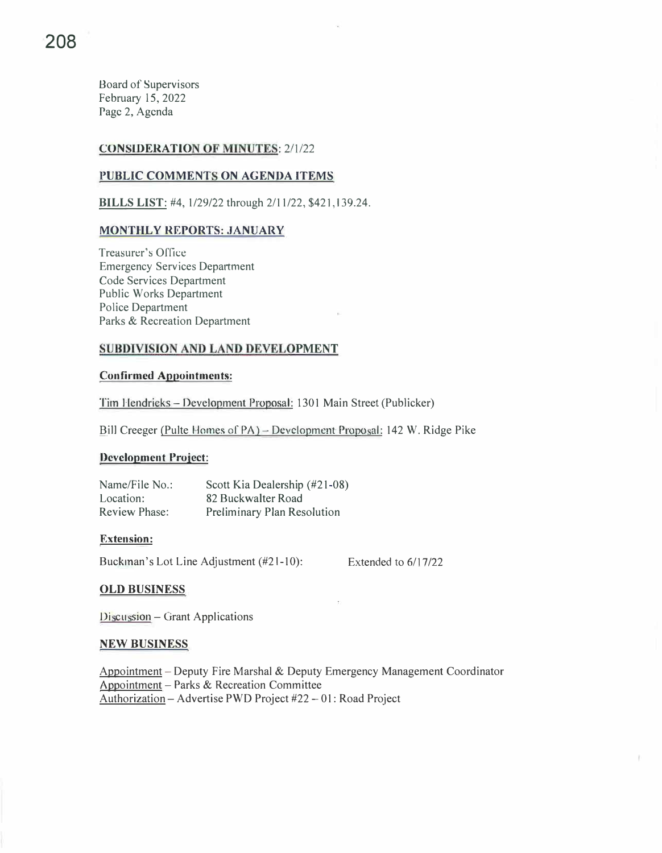Board of Supervisors February 15, 2022 Page 2, Agenda

#### **CONSIDERATION OF MINUTES:** 2/1/22

#### **PUBLIC COMMENTS ON AGENDA ITEMS**

**BILLS LIST:** #4, 1/29/22 through 2/11/22, \$421,139.24.

#### **MONTHLY REPORTS: JANUARY**

Treasurer's Office Emergency Services Department Code Services Department Public Works Department Police Department Parks & Recreation Department

#### **SUBDIVISION AND LAND DEVELOPMENT**

#### **Confirmed Appointments:**

Tim Hendricks- Development Proposal: 1301 Main Street (Publicker)

Bill Creeger (Pulte Homes of PA) - Development Proposal: 142 W. Ridge Pike

#### **Development Project:**

Name/File No.: Location: Review Phase: Scott Kia Dealership (#21-08) 82 Buckwalter Road Preliminary Plan Resolution

#### **Extension:**

Buckman's Lot Line Adjustment (#21-10):

Extended to  $6/17/22$ 

#### **OLD BUSINESS**

 $D$ iscussion – Grant Applications

#### **NEW BUSINESS**

Appointment - Deputy Fire Marshal & Deputy Emergency Management Coordinator Appointment - Parks & Recreation Committee Authorization - Advertise PWD Project #22 - 01: Road Project